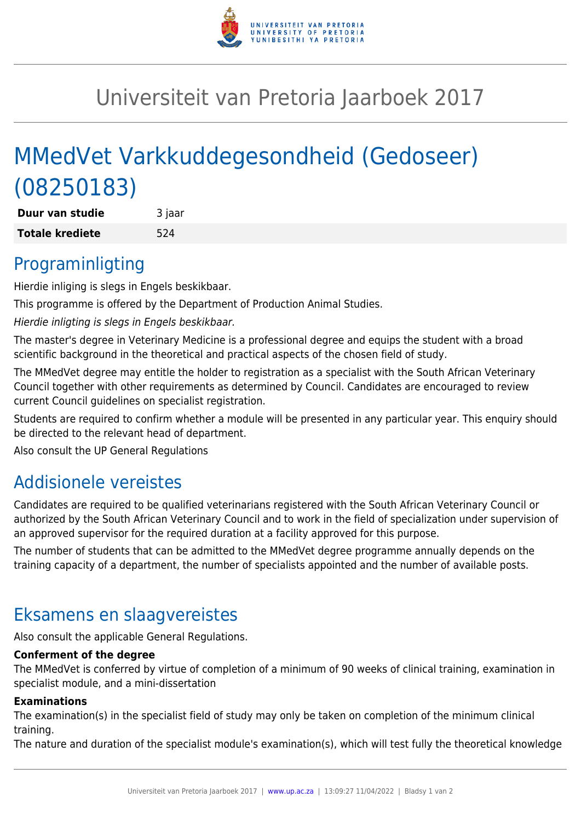

## Universiteit van Pretoria Jaarboek 2017

# MMedVet Varkkuddegesondheid (Gedoseer) (08250183)

**Duur van studie** 3 jaar **Totale krediete** 524

### Programinligting

Hierdie inliging is slegs in Engels beskikbaar.

This programme is offered by the Department of Production Animal Studies.

Hierdie inligting is slegs in Engels beskikbaar.

The master's degree in Veterinary Medicine is a professional degree and equips the student with a broad scientific background in the theoretical and practical aspects of the chosen field of study.

The MMedVet degree may entitle the holder to registration as a specialist with the South African Veterinary Council together with other requirements as determined by Council. Candidates are encouraged to review current Council guidelines on specialist registration.

Students are required to confirm whether a module will be presented in any particular year. This enquiry should be directed to the relevant head of department.

Also consult the UP General Regulations

### Addisionele vereistes

Candidates are required to be qualified veterinarians registered with the South African Veterinary Council or authorized by the South African Veterinary Council and to work in the field of specialization under supervision of an approved supervisor for the required duration at a facility approved for this purpose.

The number of students that can be admitted to the MMedVet degree programme annually depends on the training capacity of a department, the number of specialists appointed and the number of available posts.

### Eksamens en slaagvereistes

Also consult the applicable General Regulations.

#### **Conferment of the degree**

The MMedVet is conferred by virtue of completion of a minimum of 90 weeks of clinical training, examination in specialist module, and a mini-dissertation

#### **Examinations**

The examination(s) in the specialist field of study may only be taken on completion of the minimum clinical training.

The nature and duration of the specialist module's examination(s), which will test fully the theoretical knowledge